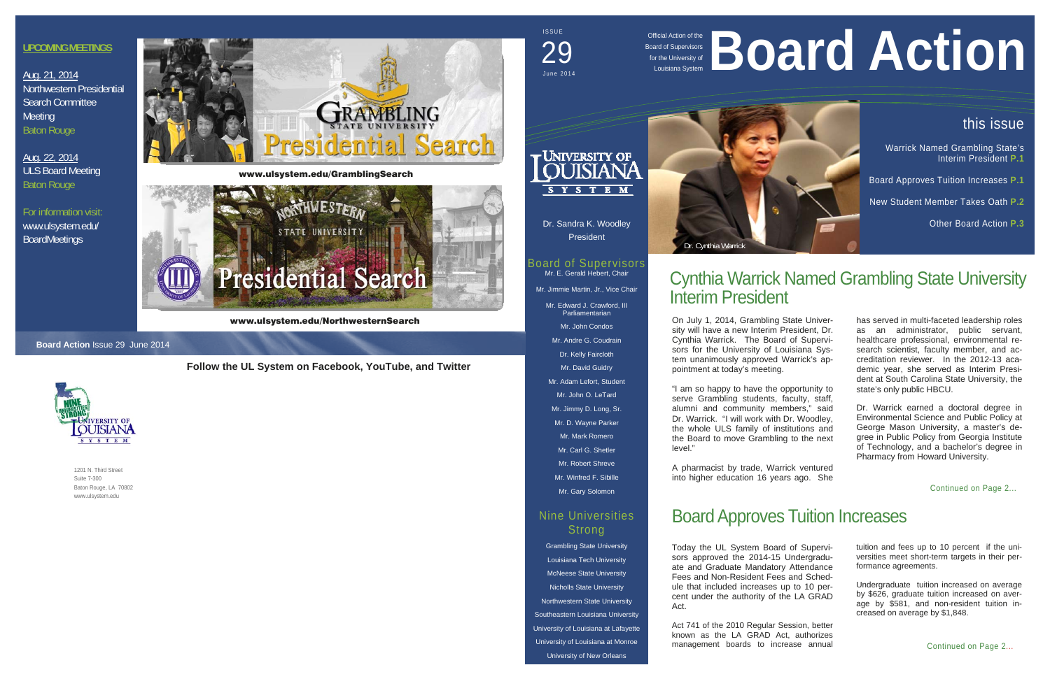# Board Approves Tuition Increases

1201 N. Third Street Suite 7-300 Baton Rouge, LA 70802 www.ulsystem.edu

Official Action of the Board of Supervisors for the University of



 $\mathbf{\tau}$ University of SYSTEM

Mr. Edward J. Crawford, III Parliamentarian

Dr. Sandra K. Woodley President

#### Board of Supervisors Mr. E. Gerald Hebert, Chair Mr. Jimmie Martin, Jr., Vice Chair

### Nine Universities **Strong**

Mr. John Condos

- Mr. Andre G. Coudrain
- Dr. Kelly Faircloth
- Mr. David Guidry
- Mr. Adam Lefort, Student

Mr. John O. LeTard Mr. Jimmy D. Long, Sr. Mr. D. Wayne Parker Mr. Mark Romero

Mr. Carl G. Shetler Mr. Robert Shreve Mr. Winfred F. Sibille

Mr. Gary Solomon

Grambling State University Louisiana Tech University McNeese State University Nicholls State University Northwestern State University Southeastern Louisiana University University of Louisiana at Lafayette University of Louisiana at Monroe University of New Orleans

## ISSUE June 2014 29

#### **Board Action** Issue 29 June 2014



Today the UL System Board of Supervisors approved the 2014-15 Undergraduate and Graduate Mandatory Attendance Fees and Non-Resident Fees and Schedule that included increases up to 10 percent under the authority of the LA GRAD Act.

Act 741 of the 2010 Regular Session, better known as the LA GRAD Act, authorizes management boards to increase annual

# ficial Action of the **Board Supervisors**

## **Follow the UL System on Facebook, YouTube, and Twitter**

## this issue

Warrick Named Grambling State's Interim President **P.1**

Board Approves Tuition Increases **P.1** 

New Student Member Takes Oath **P.2**

Other Board Action **P.3**

Continued on Page 2...

Aug. 22, 2014 ULS Board Meeting Baton Rouge

tuition and fees up to 10 percent if the universities meet short-term targets in their performance agreements.

Undergraduate tuition increased on average by \$626, graduate tuition increased on average by \$581, and non-resident tuition increased on average by \$1,848.

has served in multi-faceted leadership roles as an administrator, public servant, healthcare professional, environmental research scientist, faculty member, and accreditation reviewer. In the 2012-13 academic year, she served as Interim President at South Carolina State University, the state's only public HBCU.

Dr. Warrick earned a doctoral degree in Environmental Science and Public Policy at George Mason University, a master's degree in Public Policy from Georgia Institute of Technology, and a bachelor's degree in Pharmacy from Howard University.

## Cynthia Warrick Named Grambling State University Interim President

On July 1, 2014, Grambling State University will have a new Interim President, Dr. Cynthia Warrick. The Board of Supervisors for the University of Louisiana System unanimously approved Warrick's ap-

pointment at today's meeting. "I am so happy to have the opportunity to serve Grambling students, faculty, staff, alumni and community members," said

Dr. Warrick. "I will work with Dr. Woodley, the whole ULS family of institutions and the Board to move Grambling to the next level."

A pharmacist by trade, Warrick ventured into higher education 16 years ago. She

#### **UPCOMING MEETINGS**

Aug. 21, 2014 Northwestern Presidential Search Committee **Meeting** Baton Rouge

For information visit: www.ulsystem.edu/ BoardMeetings



www.ulsystem.edu/NorthwesternSearch



www.ulsystem.edu/GramblingSearch